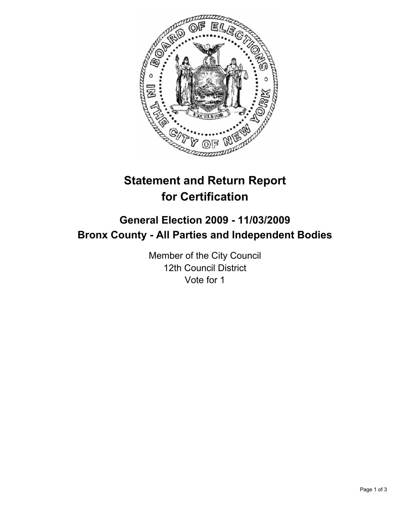

# **Statement and Return Report for Certification**

# **General Election 2009 - 11/03/2009 Bronx County - All Parties and Independent Bodies**

Member of the City Council 12th Council District Vote for 1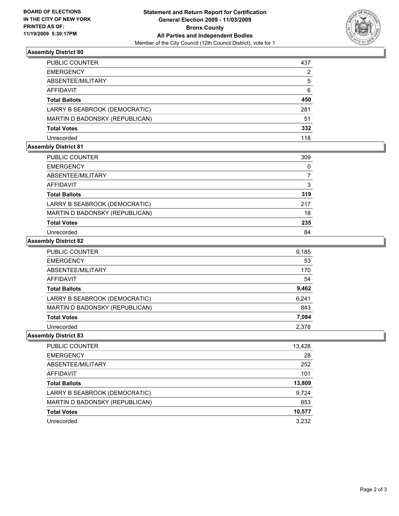

# **Assembly District 80**

| PUBLIC COUNTER                 | 437            |
|--------------------------------|----------------|
| EMERGENCY                      | $\overline{2}$ |
| ABSENTEE/MILITARY              | 5              |
| AFFIDAVIT                      | 6              |
| Total Ballots                  | 450            |
| LARRY B SEABROOK (DEMOCRATIC)  | 281            |
| MARTIN D BADONSKY (REPUBLICAN) | 51             |
| Total Votes                    | 332            |
| Unrecorded                     | 118            |

## **Assembly District 81**

| PUBLIC COUNTER                 | 309 |
|--------------------------------|-----|
| <b>EMERGENCY</b>               | 0   |
| ABSENTEE/MILITARY              |     |
| <b>AFFIDAVIT</b>               | 3   |
| <b>Total Ballots</b>           | 319 |
| LARRY B SEABROOK (DEMOCRATIC)  | 217 |
| MARTIN D BADONSKY (REPUBLICAN) | 18  |
| <b>Total Votes</b>             | 235 |
| Unrecorded                     | 84  |

# **Assembly District 82**

| PUBLIC COUNTER                 | 9,185 |
|--------------------------------|-------|
| <b>EMERGENCY</b>               | 53    |
| ABSENTEE/MILITARY              | 170   |
| <b>AFFIDAVIT</b>               | 54    |
| <b>Total Ballots</b>           | 9,462 |
| LARRY B SEABROOK (DEMOCRATIC)  | 6,241 |
| MARTIN D BADONSKY (REPUBLICAN) | 843   |
| <b>Total Votes</b>             | 7,084 |
| Unrecorded                     | 2.378 |

#### **Assembly District 83**

| <b>PUBLIC COUNTER</b>          | 13,428 |
|--------------------------------|--------|
| <b>EMERGENCY</b>               | 28     |
| ABSENTEE/MILITARY              | 252    |
| AFFIDAVIT                      | 101    |
| <b>Total Ballots</b>           | 13,809 |
| LARRY B SEABROOK (DEMOCRATIC)  | 9,724  |
| MARTIN D BADONSKY (REPUBLICAN) | 853    |
| <b>Total Votes</b>             | 10,577 |
| Unrecorded                     | 3,232  |